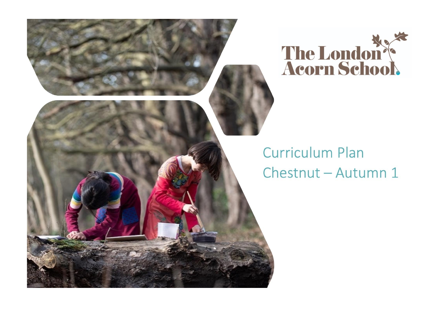



## **Curriculum Plan** Chestnut - Autumn 1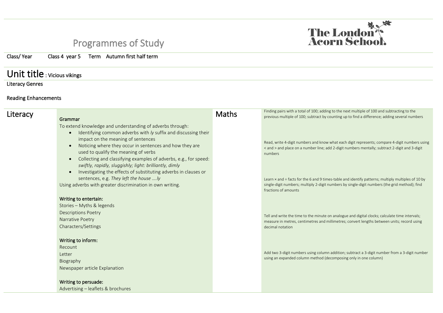## Programmes of Study

Class/ Year Class 4 year 5 Term Autumn first half term

## Unit title : Vicious vikings

Literacy Genres

## Reading Enhancements

| Literacy | Grammar                                                                                                                                                                                                                                                                                                                                                                                                                                                                             | <b>Maths</b> | Finding pairs with a total of 100; adding to the next multiple of 100 and subtracting to the<br>previous multiple of 100; subtract by counting up to find a difference; adding several numbers                                           |
|----------|-------------------------------------------------------------------------------------------------------------------------------------------------------------------------------------------------------------------------------------------------------------------------------------------------------------------------------------------------------------------------------------------------------------------------------------------------------------------------------------|--------------|------------------------------------------------------------------------------------------------------------------------------------------------------------------------------------------------------------------------------------------|
|          | To extend knowledge and understanding of adverbs through:<br>Identifying common adverbs with ly suffix and discussing their<br>impact on the meaning of sentences<br>Noticing where they occur in sentences and how they are<br>used to qualify the meaning of verbs<br>Collecting and classifying examples of adverbs, e.g., for speed:<br>$\bullet$<br>swiftly, rapidly, sluggishly; light: brilliantly, dimly<br>Investigating the effects of substituting adverbs in clauses or |              | Read, write 4-digit numbers and know what each digit represents; compare 4-digit numbers using<br>< and > and place on a number line; add 2-digit numbers mentally; subtract 2-digit and 3-digit<br>numbers                              |
|          | sentences, e.g. They left the house ly<br>Using adverbs with greater discrimination in own writing.                                                                                                                                                                                                                                                                                                                                                                                 |              | Learn $\times$ and $\div$ facts for the 6 and 9 times-table and identify patterns; multiply multiples of 10 by<br>single-digit numbers; multiply 2-digit numbers by single-digit numbers (the grid method); find<br>fractions of amounts |
|          | Writing to entertain:                                                                                                                                                                                                                                                                                                                                                                                                                                                               |              |                                                                                                                                                                                                                                          |
|          | Stories - Myths & legends<br><b>Descriptions Poetry</b><br>Narrative Poetry<br>Characters/Settings                                                                                                                                                                                                                                                                                                                                                                                  |              | Tell and write the time to the minute on analogue and digital clocks; calculate time intervals;<br>measure in metres, centimetres and millimetres; convert lengths between units; record using<br>decimal notation                       |
|          | Writing to inform:<br>Recount<br>Letter<br>Biography<br>Newspaper article Explanation                                                                                                                                                                                                                                                                                                                                                                                               |              | Add two 3-digit numbers using column addition; subtract a 3-digit number from a 3-digit number<br>using an expanded column method (decomposing only in one column)                                                                       |
|          | Writing to persuade:<br>Advertising - leaflets & brochures                                                                                                                                                                                                                                                                                                                                                                                                                          |              |                                                                                                                                                                                                                                          |

The London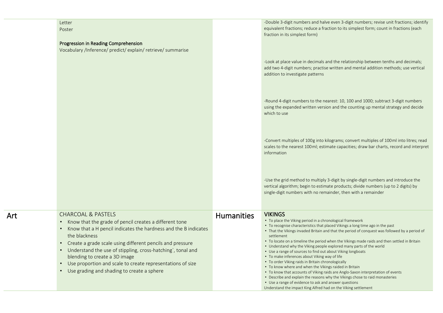| Letter<br>Poster<br>Progression in Reading Comprehension<br>Vocabulary /Inference/ predict/ explain/ retrieve/ summarise                                                                                                                                                                                                                                                                                                                                          |                   | -Double 3-digit numbers and halve even 3-digit numbers; revise unit fractions; identify<br>equivalent fractions; reduce a fraction to its simplest form; count in fractions (each<br>fraction in its simplest form)                                                                                                                                                                                                                                                                                                                                                                                                                                                                                                                                                                                                                                                                                                                                                                 |
|-------------------------------------------------------------------------------------------------------------------------------------------------------------------------------------------------------------------------------------------------------------------------------------------------------------------------------------------------------------------------------------------------------------------------------------------------------------------|-------------------|-------------------------------------------------------------------------------------------------------------------------------------------------------------------------------------------------------------------------------------------------------------------------------------------------------------------------------------------------------------------------------------------------------------------------------------------------------------------------------------------------------------------------------------------------------------------------------------------------------------------------------------------------------------------------------------------------------------------------------------------------------------------------------------------------------------------------------------------------------------------------------------------------------------------------------------------------------------------------------------|
|                                                                                                                                                                                                                                                                                                                                                                                                                                                                   |                   | -Look at place value in decimals and the relationship between tenths and decimals;<br>add two 4-digit numbers; practise written and mental addition methods; use vertical<br>addition to investigate patterns                                                                                                                                                                                                                                                                                                                                                                                                                                                                                                                                                                                                                                                                                                                                                                       |
|                                                                                                                                                                                                                                                                                                                                                                                                                                                                   |                   | -Round 4-digit numbers to the nearest: 10, 100 and 1000; subtract 3-digit numbers<br>using the expanded written version and the counting up mental strategy and decide<br>which to use                                                                                                                                                                                                                                                                                                                                                                                                                                                                                                                                                                                                                                                                                                                                                                                              |
|                                                                                                                                                                                                                                                                                                                                                                                                                                                                   |                   | -Convert multiples of 100g into kilograms; convert multiples of 100ml into litres; read<br>scales to the nearest 100ml; estimate capacities; draw bar charts, record and interpret<br>information                                                                                                                                                                                                                                                                                                                                                                                                                                                                                                                                                                                                                                                                                                                                                                                   |
|                                                                                                                                                                                                                                                                                                                                                                                                                                                                   |                   | -Use the grid method to multiply 3-digit by single-digit numbers and introduce the<br>vertical algorithm; begin to estimate products; divide numbers (up to 2 digits) by<br>single-digit numbers with no remainder, then with a remainder                                                                                                                                                                                                                                                                                                                                                                                                                                                                                                                                                                                                                                                                                                                                           |
| <b>CHARCOAL &amp; PASTELS</b><br>Know that the grade of pencil creates a different tone<br>Know that a H pencil indicates the hardness and the B indicates<br>the blackness<br>Create a grade scale using different pencils and pressure<br>Understand the use of stippling, cross-hatching`, tonal and<br>blending to create a 3D image<br>Use proportion and scale to create representations of size<br>$\bullet$<br>Use grading and shading to create a sphere | <b>Humanities</b> | <b>VIKINGS</b><br>• To place the Viking period in a chronological framework<br>• To recognise characteristics that placed Vikings a long time ago in the past<br>• That the Vikings invaded Britain and that the period of conquest was followed by a period of<br>settlement<br>• To locate on a timeline the period when the Vikings made raids and then settled in Britain<br>• Understand why the Viking people explored many parts of the world<br>• Use a range of sources to find out about Viking longboats<br>• To make inferences about Viking way of life<br>• To order Viking raids in Britain chronologically<br>• To know where and when the Vikings raided in Britain<br>• To know that accounts of Viking raids are Anglo-Saxon interpretation of events<br>• Describe and explain the reasons why the Vikings chose to raid monasteries<br>• Use a range of evidence to ask and answer questions<br>Understand the impact King Alfred had on the Viking settlement |

Art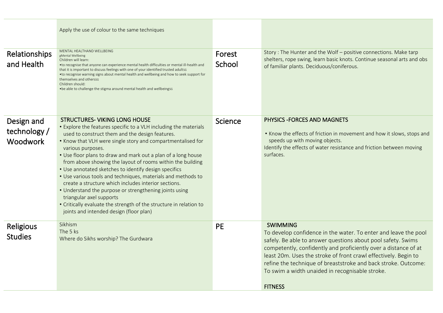|                                               | Apply the use of colour to the same techniques                                                                                                                                                                                                                                                                                                                                                                                                                                                                                                                                                                                                                                                                                                                         |                  |                                                                                                                                                                                                                                                                                                                                                                                                                                 |
|-----------------------------------------------|------------------------------------------------------------------------------------------------------------------------------------------------------------------------------------------------------------------------------------------------------------------------------------------------------------------------------------------------------------------------------------------------------------------------------------------------------------------------------------------------------------------------------------------------------------------------------------------------------------------------------------------------------------------------------------------------------------------------------------------------------------------------|------------------|---------------------------------------------------------------------------------------------------------------------------------------------------------------------------------------------------------------------------------------------------------------------------------------------------------------------------------------------------------------------------------------------------------------------------------|
| Relationships<br>and Health                   | MENTAL HEALTHAND WELLBEING<br>gMental Wellbeing<br>Children will learn:<br>• to recognise that anyone can experience mental health difficulties or mental ill-health and<br>that it is important to discuss feelings with one of your identified trusted adultsg<br>• to recognise warning signs about mental health and wellbeing and how to seek support for<br>themselves and otherssg<br>Children should:<br>• be able to challenge the stigma around mental health and wellbeings of                                                                                                                                                                                                                                                                              | Forest<br>School | Story: The Hunter and the Wolf - positive connections. Make tarp<br>shelters, rope swing, learn basic knots. Continue seasonal arts and obs<br>of familiar plants. Deciduous/coniferous.                                                                                                                                                                                                                                        |
| Design and<br>technology /<br><b>Woodwork</b> | <b>STRUCTURES- VIKING LONG HOUSE</b><br>• Explore the features specific to a VLH including the materials<br>used to construct them and the design features.<br>• Know that VLH were single story and compartmentalised for<br>various purposes.<br>• Use floor plans to draw and mark out a plan of a long house<br>from above showing the layout of rooms within the building<br>• Use annotated sketches to identify design specifics<br>• Use various tools and techniques, materials and methods to<br>create a structure which includes interior sections.<br>• Understand the purpose or strengthening joints using<br>triangular axel supports<br>• Critically evaluate the strength of the structure in relation to<br>joints and intended design (floor plan) | Science          | PHYSICS - FORCES AND MAGNETS<br>• Know the effects of friction in movement and how it slows, stops and<br>speeds up with moving objects.<br>Identify the effects of water resistance and friction between moving<br>surfaces.                                                                                                                                                                                                   |
| Religious<br><b>Studies</b>                   | Sikhism<br>The 5 ks<br>Where do Sikhs worship? The Gurdwara                                                                                                                                                                                                                                                                                                                                                                                                                                                                                                                                                                                                                                                                                                            | <b>PE</b>        | <b>SWIMMING</b><br>To develop confidence in the water. To enter and leave the pool<br>safely. Be able to answer questions about pool safety. Swims<br>competently, confidently and proficiently over a distance of at<br>least 20m. Uses the stroke of front crawl effectively. Begin to<br>refine the technique of breaststroke and back stroke. Outcome:<br>To swim a width unaided in recognisable stroke.<br><b>FITNESS</b> |